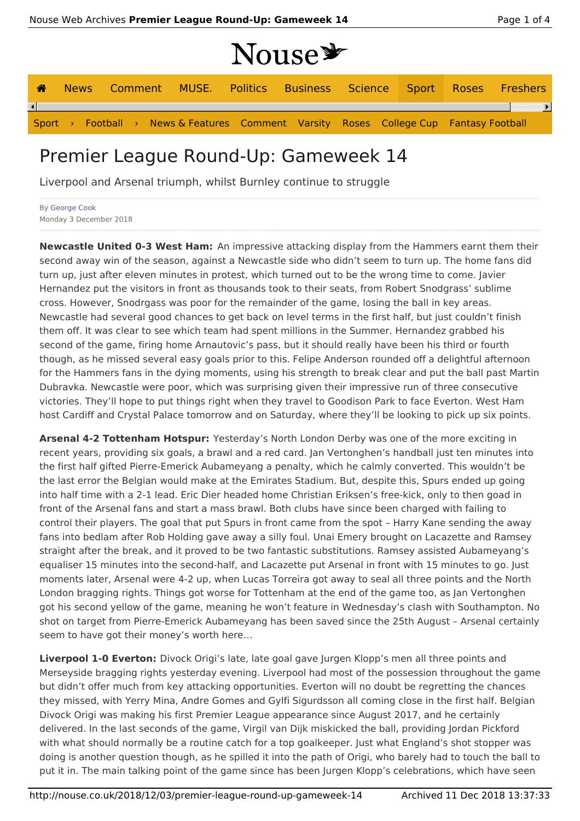# NOUSE

|   |  |  |                                                                                       | 1 I V UU V |  |  |  |                                                                   |
|---|--|--|---------------------------------------------------------------------------------------|------------|--|--|--|-------------------------------------------------------------------|
| ☎ |  |  |                                                                                       |            |  |  |  | News Comment MUSE. Politics Business Science Sport Roses Freshers |
|   |  |  |                                                                                       |            |  |  |  |                                                                   |
|   |  |  | Sport > Football > News & Features Comment Varsity Roses College Cup Fantasy Football |            |  |  |  |                                                                   |

## Premier League Round-Up: Gameweek 14

Liverpool and Arsenal triumph, whilst Burnley continue to struggle

By George Cook Monday 3 December 2018

**Newcastle United 0-3 West Ham:** An impressive attacking display from the Hammers earnt them their second away win of the season, against a Newcastle side who didn't seem to turn up. The home fans did turn up, just after eleven minutes in protest, which turned out to be the wrong time to come. Javier Hernandez put the visitors in front as thousands took to their seats, from Robert Snodgrass' sublime cross. However, Snodrgass was poor for the remainder of the game, losing the ball in key areas. Newcastle had several good chances to get back on level terms in the first half, but just couldn't finish them off. It was clear to see which team had spent millions in the Summer. Hernandez grabbed his second of the game, firing home Arnautovic's pass, but it should really have been his third or fourth though, as he missed several easy goals prior to this. Felipe Anderson rounded off a delightful afternoon for the Hammers fans in the dying moments, using his strength to break clear and put the ball past Martin Dubravka. Newcastle were poor, which was surprising given their impressive run of three consecutive victories. They'll hope to put things right when they travel to Goodison Park to face Everton. West Ham host Cardiff and Crystal Palace tomorrow and on Saturday, where they'll be looking to pick up six points.

**Arsenal 4-2 Tottenham Hotspur:** Yesterday's North London Derby was one of the more exciting in recent years, providing six goals, a brawl and a red card. Jan Vertonghen's handball just ten minutes into the first half gifted Pierre-Emerick Aubameyang a penalty, which he calmly converted. This wouldn't be the last error the Belgian would make at the Emirates Stadium. But, despite this, Spurs ended up going into half time with a 2-1 lead. Eric Dier headed home Christian Eriksen's free-kick, only to then goad in front of the Arsenal fans and start a mass brawl. Both clubs have since been charged with failing to control their players. The goal that put Spurs in front came from the spot – Harry Kane sending the away fans into bedlam after Rob Holding gave away a silly foul. Unai Emery brought on Lacazette and Ramsey straight after the break, and it proved to be two fantastic substitutions. Ramsey assisted Aubameyang's equaliser 15 minutes into the second-half, and Lacazette put Arsenal in front with 15 minutes to go. Just moments later, Arsenal were 4-2 up, when Lucas Torreira got away to seal all three points and the North London bragging rights. Things got worse for Tottenham at the end of the game too, as Jan Vertonghen got his second yellow of the game, meaning he won't feature in Wednesday's clash with Southampton. No shot on target from Pierre-Emerick Aubameyang has been saved since the 25th August – Arsenal certainly seem to have got their money's worth here…

**Liverpool 1-0 Everton:** Divock Origi's late, late goal gave Jurgen Klopp's men all three points and Merseyside bragging rights yesterday evening. Liverpool had most of the possession throughout the game but didn't offer much from key attacking opportunities. Everton will no doubt be regretting the chances they missed, with Yerry Mina, Andre Gomes and Gylfi Sigurdsson all coming close in the first half. Belgian Divock Origi was making his first Premier League appearance since August 2017, and he certainly delivered. In the last seconds of the game, Virgil van Dijk miskicked the ball, providing Jordan Pickford with what should normally be a routine catch for a top goalkeeper. Just what England's shot stopper was doing is another question though, as he spilled it into the path of Origi, who barely had to touch the ball to put it in. The main talking point of the game since has been Jurgen Klopp's celebrations, which have seen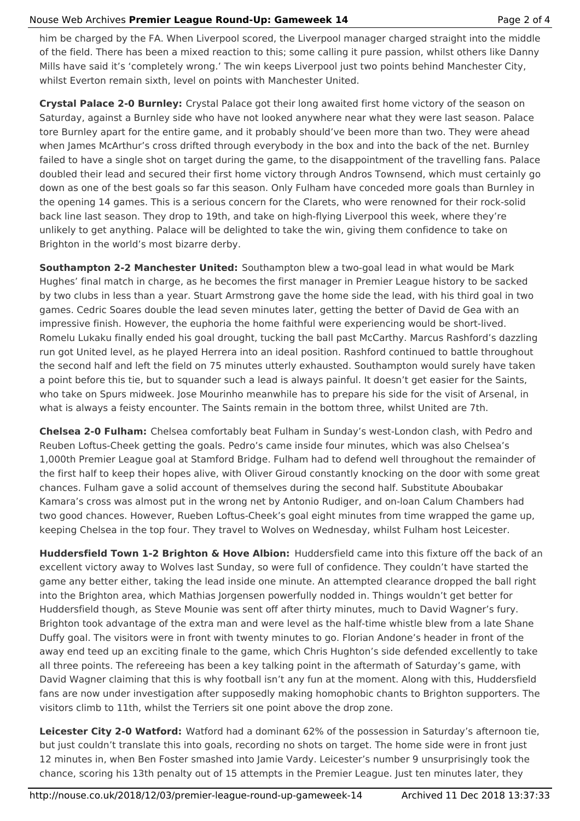#### Nouse Web Archives **Premier League Round-Up: Gameweek 14** Page 2 of 4

him be charged by the FA. When Liverpool scored, the Liverpool manager charged straight into the middle of the field. There has been a mixed reaction to this; some calling it pure passion, whilst others like Danny Mills have said it's 'completely wrong.' The win keeps Liverpool just two points behind Manchester City, whilst Everton remain sixth, level on points with Manchester United.

**Crystal Palace 2-0 Burnley:** Crystal Palace got their long awaited first home victory of the season on Saturday, against a Burnley side who have not looked anywhere near what they were last season. Palace tore Burnley apart for the entire game, and it probably should've been more than two. They were ahead when James McArthur's cross drifted through everybody in the box and into the back of the net. Burnley failed to have a single shot on target during the game, to the disappointment of the travelling fans. Palace doubled their lead and secured their first home victory through Andros Townsend, which must certainly go down as one of the best goals so far this season. Only Fulham have conceded more goals than Burnley in the opening 14 games. This is a serious concern for the Clarets, who were renowned for their rock-solid back line last season. They drop to 19th, and take on high-flying Liverpool this week, where they're unlikely to get anything. Palace will be delighted to take the win, giving them confidence to take on Brighton in the world's most bizarre derby.

**Southampton 2-2 Manchester United:** Southampton blew a two-goal lead in what would be Mark Hughes' final match in charge, as he becomes the first manager in Premier League history to be sacked by two clubs in less than a year. Stuart Armstrong gave the home side the lead, with his third goal in two games. Cedric Soares double the lead seven minutes later, getting the better of David de Gea with an impressive finish. However, the euphoria the home faithful were experiencing would be short-lived. Romelu Lukaku finally ended his goal drought, tucking the ball past McCarthy. Marcus Rashford's dazzling run got United level, as he played Herrera into an ideal position. Rashford continued to battle throughout the second half and left the field on 75 minutes utterly exhausted. Southampton would surely have taken a point before this tie, but to squander such a lead is always painful. It doesn't get easier for the Saints, who take on Spurs midweek. Jose Mourinho meanwhile has to prepare his side for the visit of Arsenal, in what is always a feisty encounter. The Saints remain in the bottom three, whilst United are 7th.

**Chelsea 2-0 Fulham:** Chelsea comfortably beat Fulham in Sunday's west-London clash, with Pedro and Reuben Loftus-Cheek getting the goals. Pedro's came inside four minutes, which was also Chelsea's 1,000th Premier League goal at Stamford Bridge. Fulham had to defend well throughout the remainder of the first half to keep their hopes alive, with Oliver Giroud constantly knocking on the door with some great chances. Fulham gave a solid account of themselves during the second half. Substitute Aboubakar Kamara's cross was almost put in the wrong net by Antonio Rudiger, and on-loan Calum Chambers had two good chances. However, Rueben Loftus-Cheek's goal eight minutes from time wrapped the game up, keeping Chelsea in the top four. They travel to Wolves on Wednesday, whilst Fulham host Leicester.

**Huddersfield Town 1-2 Brighton & Hove Albion:** Huddersfield came into this fixture off the back of an excellent victory away to Wolves last Sunday, so were full of confidence. They couldn't have started the game any better either, taking the lead inside one minute. An attempted clearance dropped the ball right into the Brighton area, which Mathias Jorgensen powerfully nodded in. Things wouldn't get better for Huddersfield though, as Steve Mounie was sent off after thirty minutes, much to David Wagner's fury. Brighton took advantage of the extra man and were level as the half-time whistle blew from a late Shane Duffy goal. The visitors were in front with twenty minutes to go. Florian Andone's header in front of the away end teed up an exciting finale to the game, which Chris Hughton's side defended excellently to take all three points. The refereeing has been a key talking point in the aftermath of Saturday's game, with David Wagner claiming that this is why football isn't any fun at the moment. Along with this, Huddersfield fans are now under investigation after supposedly making homophobic chants to Brighton supporters. The visitors climb to 11th, whilst the Terriers sit one point above the drop zone.

**Leicester City 2-0 Watford:** Watford had a dominant 62% of the possession in Saturday's afternoon tie, but just couldn't translate this into goals, recording no shots on target. The home side were in front just 12 minutes in, when Ben Foster smashed into Jamie Vardy. Leicester's number 9 unsurprisingly took the chance, scoring his 13th penalty out of 15 attempts in the Premier League. Just ten minutes later, they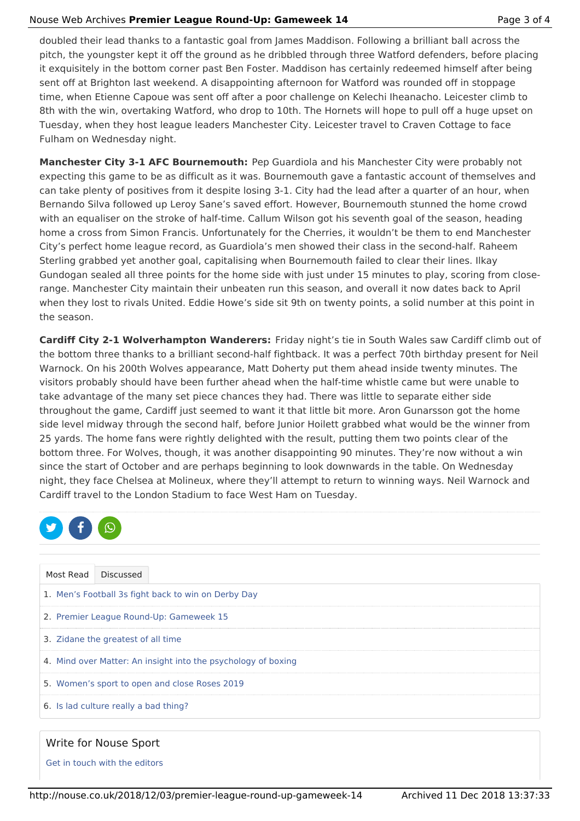#### Nouse Web Archives **Premier League Round-Up: Gameweek 14** Page 3 of 4

doubled their lead thanks to a fantastic goal from James Maddison. Following a brilliant ball across the pitch, the youngster kept it off the ground as he dribbled through three Watford defenders, before placing it exquisitely in the bottom corner past Ben Foster. Maddison has certainly redeemed himself after being sent off at Brighton last weekend. A disappointing afternoon for Watford was rounded off in stoppage time, when Etienne Capoue was sent off after a poor challenge on Kelechi Iheanacho. Leicester climb to 8th with the win, overtaking Watford, who drop to 10th. The Hornets will hope to pull off a huge upset on Tuesday, when they host league leaders Manchester City. Leicester travel to Craven Cottage to face Fulham on Wednesday night.

**Manchester City 3-1 AFC Bournemouth:** Pep Guardiola and his Manchester City were probably not expecting this game to be as difficult as it was. Bournemouth gave a fantastic account of themselves and can take plenty of positives from it despite losing 3-1. City had the lead after a quarter of an hour, when Bernando Silva followed up Leroy Sane's saved effort. However, Bournemouth stunned the home crowd with an equaliser on the stroke of half-time. Callum Wilson got his seventh goal of the season, heading home a cross from Simon Francis. Unfortunately for the Cherries, it wouldn't be them to end Manchester City's perfect home league record, as Guardiola's men showed their class in the second-half. Raheem Sterling grabbed yet another goal, capitalising when Bournemouth failed to clear their lines. Ilkay Gundogan sealed all three points for the home side with just under 15 minutes to play, scoring from closerange. Manchester City maintain their unbeaten run this season, and overall it now dates back to April when they lost to rivals United. Eddie Howe's side sit 9th on twenty points, a solid number at this point in the season.

**Cardiff City 2-1 Wolverhampton Wanderers:** Friday night's tie in South Wales saw Cardiff climb out of the bottom three thanks to a brilliant second-half fightback. It was a perfect 70th birthday present for Neil Warnock. On his 200th Wolves appearance, Matt Doherty put them ahead inside twenty minutes. The visitors probably should have been further ahead when the half-time whistle came but were unable to take advantage of the many set piece chances they had. There was little to separate either side throughout the game, Cardiff just seemed to want it that little bit more. Aron Gunarsson got the home side level midway through the second half, before Junior Hoilett grabbed what would be the winner from 25 yards. The home fans were rightly delighted with the result, putting them two points clear of the bottom three. For Wolves, though, it was another disappointing 90 minutes. They're now without a win since the start of October and are perhaps beginning to look downwards in the table. On Wednesday night, they face Chelsea at Molineux, where they'll attempt to return to winning ways. Neil Warnock and Cardiff travel to the London Stadium to face West Ham on Tuesday.



| Most Read                                                     | <b>Discussed</b>                      |  |  |  |  |  |
|---------------------------------------------------------------|---------------------------------------|--|--|--|--|--|
| 1. Men's Football 3s fight back to win on Derby Day           |                                       |  |  |  |  |  |
| 2. Premier League Round-Up: Gameweek 15                       |                                       |  |  |  |  |  |
|                                                               | 3. Zidane the greatest of all time    |  |  |  |  |  |
| 4. Mind over Matter: An insight into the psychology of boxing |                                       |  |  |  |  |  |
| 5. Women's sport to open and close Roses 2019                 |                                       |  |  |  |  |  |
|                                                               | 6. Is lad culture really a bad thing? |  |  |  |  |  |

### Write for Nouse Sport

Get in touch with the editors